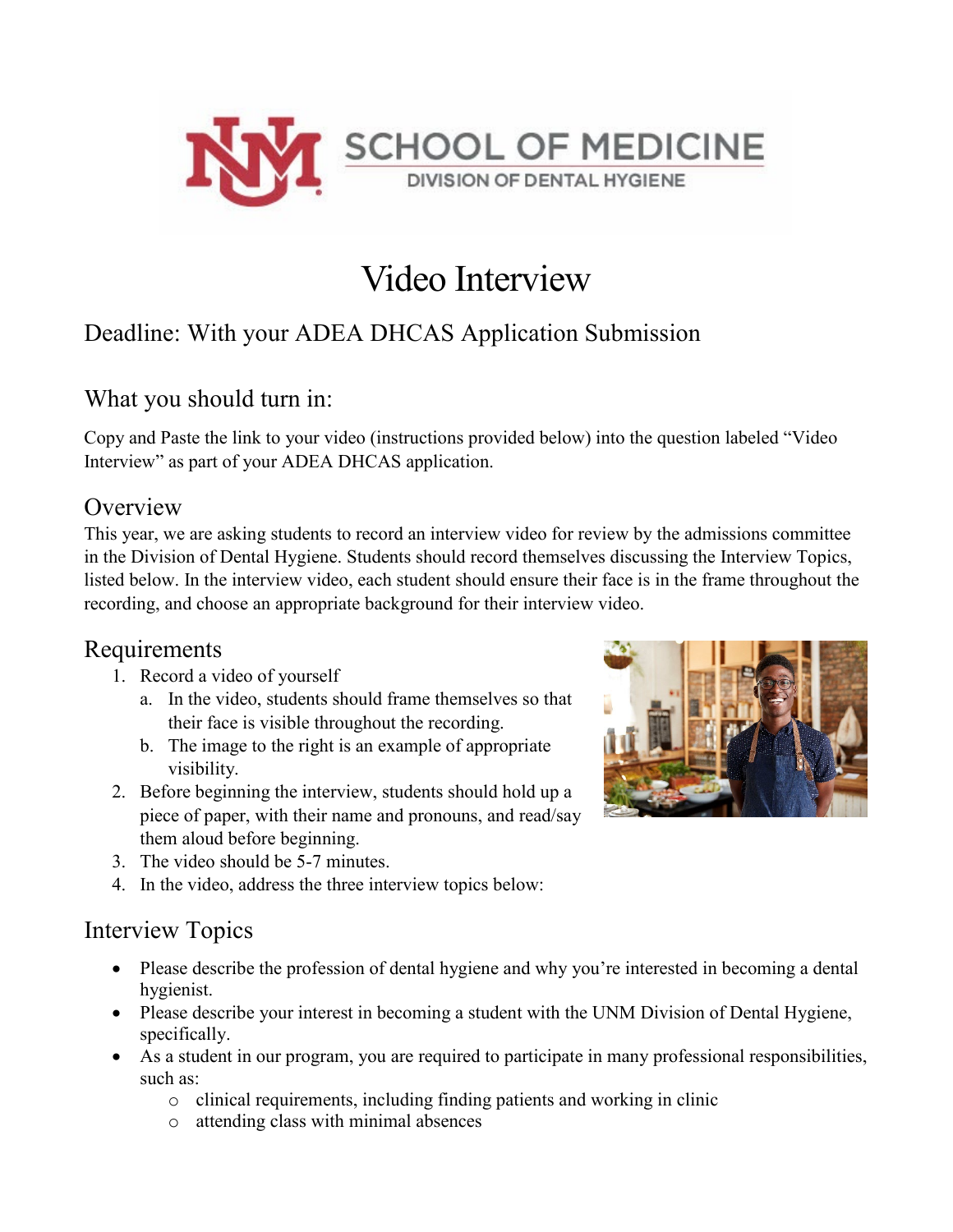

# Video Interview

## Deadline: With your ADEA DHCAS Application Submission

### What you should turn in:

Copy and Paste the link to your video (instructions provided below) into the question labeled "Video Interview" as part of your ADEA DHCAS application.

#### **Overview**

This year, we are asking students to record an interview video for review by the admissions committee in the Division of Dental Hygiene. Students should record themselves discussing the Interview Topics, listed below. In the interview video, each student should ensure their face is in the frame throughout the recording, and choose an appropriate background for their interview video.

### Requirements

- 1. Record a video of yourself
	- a. In the video, students should frame themselves so that their face is visible throughout the recording.
	- b. The image to the right is an example of appropriate visibility.
- 2. Before beginning the interview, students should hold up a piece of paper, with their name and pronouns, and read/say them aloud before beginning.
- 3. The video should be 5-7 minutes.
- 4. In the video, address the three interview topics below:

### Interview Topics

- Please describe the profession of dental hygiene and why you're interested in becoming a dental hygienist.
- Please describe your interest in becoming a student with the UNM Division of Dental Hygiene, specifically.
- As a student in our program, you are required to participate in many professional responsibilities, such as:
	- o clinical requirements, including finding patients and working in clinic
	- o attending class with minimal absences